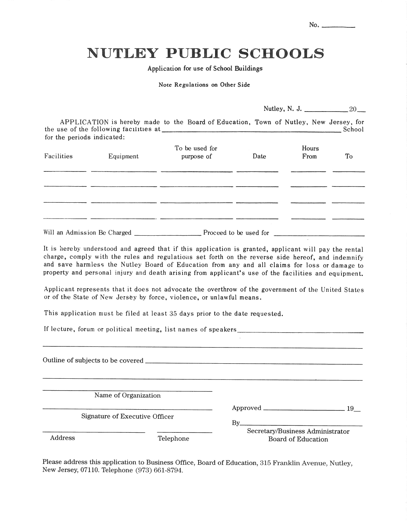| No. |  |
|-----|--|
|     |  |

# **NUTLEY PUBLIC SCHOOLS**

Application for use of School Buildings

Note Regulations on Other Side

APPLICATION is hereby made to the Board of Education, Town of Nutley, New Jersey, for for the periods indicated:

| $\cdot$<br>Facilities | Equipment | To be used for<br>purpose of | Date | Hours<br>From | $\operatorname{\mathsf{To}}$ |
|-----------------------|-----------|------------------------------|------|---------------|------------------------------|
|                       |           |                              |      |               |                              |
|                       |           |                              |      |               |                              |

It is hereby understood and agreed that if this application is granted, applicant will pay the rental charge, comply with the rules and regulations set forth on the reverse side hereof, and indemnify and save harmless the Nutley Board of Education from any and all claims for loss or damage to property and personal injury and death arising from applicant's use of the facilities and equipment.

Applicant represents that it does not advocate the overthrow of the government of the United States or of the State of New Jersey by force, violence, or unlawful means.

This application must be filed at least 35 days prior to the date requested.

If lecture, forum or political meeting, list names of speakers.

|         | Name of Organization           |                                                        |  |
|---------|--------------------------------|--------------------------------------------------------|--|
|         | Signature of Executive Officer | $\text{Approved}$ $\frac{19}{2}$<br>$By$ <sub>——</sub> |  |
| Address | Telephone                      | Secretary/Business Administrator<br>Board of Education |  |

Please address this application to Business Office, Board of Education, 315 Franklin Avenue, Nutley, New Jersey, 07110. Telephone (973) 661-8794.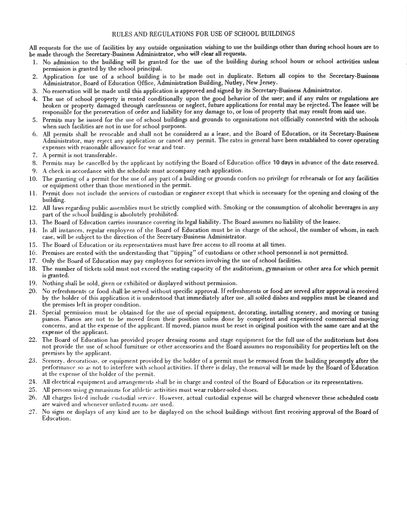All requests for the use of facilities by any outside organization wishing to use the buildings other than during school hours are to be made through the Secretary-Business Administrator, who will clear all requests.

- 1. No admission to the building will be granted for the use of the building during school hours or school activities unless permission is granted by the school principal.
- 2. Application for use of a school building is to be made out in duplicate. Return all copies to the Secretary-Business Administrator, Board of Education Office, Administration Building, Nutley, New Jersey.
- 3. No reservation will be made until this application is approved and signed by its Secretary-Business Administrator.
- 4. The use of school property is rented conditionally upon the good behavior of the user; and if any rules or regulations are broken or property damaged through carelessness or neglect, future applications for rental may be rejected. The leasee will be responsible for the preservation of order and liability for any damage to, or loss of property that may result from said use.
- Permits may be issued for the use of school buildings and grounds to organizations not officially connected with the schools  $\sim$ when such facilities are not in use for school purposes.
- 6. All permits shall be revocable and shall not be considered as a lease, and the Board of Education, or its Secretary-Business Administrator, may reject any application or cancel any permit. The rates in general have been established to cover operating expenses with reasonable allowance for wear and tear.
- 7. A permit is not transferable.
- 8. Permits may be cancelled by the applicant by notifying the Board of Education office 10 days in advance of the date reserved.
- 9. A check in accordance with the schedule must accompany each application.
- 10. The granting of a permit for the use of any part of a building or grounds confers no privilege for rehearsals or for any facilities or equipment other than those mentioned in the permit.
- 11. Permit does not include the services of custodian or engineer except that which is necessary for the opening and closing of the building.
- 12. All laws regarding public assemblies must be strictly complied with. Smoking or the consumption of alcoholic beverages in any part of the school building is absolutely prohibited.
- 13. The Board of Education carries insurance covering its legal liability. The Board assumes no liability of the leasee.
- 14. In all instances, regular employees of the Board of Education must be in charge of the school, the number of whom, in each case, will be subject to the direction of the Secretary-Business Administrator.
- 15. The Board of Education or its representatives must have free access to all rooms at all times.
- 16. Premises are rented with the understanding that "tipping" of custodians or other school personnel is not permitted.
- 17. Only the Board of Education may pay employees for services involving the use of school facilities.
- 18. The number of tickets sold must not exceed the seating capacity of the auditorium, gymnasium or other area for which permit is granted.
- 19. Nothing shall be sold, given or exhibited or displayed without permission.
- 20. No refreshments or food shall be served without specific approval. If refreshments or food are served after approval is received by the holder of this application it is understood that immediately after use, all soiled dishes and supplies must be cleaned and the premises left in proper condition.
- 21. Special permission must be obtained for the use of special equipment, decorating, installing scenery, and moving or tuning pianos. Pianos are not to be moved from their position unless done by competent and experienced commercial moving concerns, and at the expense of the applicant. If moved, pianos must be reset in original position with the same care and at the expense of the applicant.
- 22. The Board of Education has provided proper dressing rooms and stage equipment for the full use of the auditorium but does not provide the use of school furniture or other accessories and the Board assumes no responsibility for properties left on the premises by the applicant.
- 23. Scenery, decorations, or equipment provided by the holder of a permit must be removed from the building promptly after the performance so as not to interfere with school activities. If there is delay, the removal will be made by the Board of Education at the expense of the holder of the permit.
- 24. All electrical equipment and arrangements shall be in charge and control of the Board of Education or its representatives.
- 25. All persons using gymnasiums for athletic activities must wear rubber-soled shoes.
- 26. All charges listed include custodial service. However, actual custodial expense will be charged whenever these scheduled costs are waived and whenever unlisted rooms are used.
- 27. No signs or displays of any kind are to be displayed on the school buildings without first receiving approval of the Board of Education.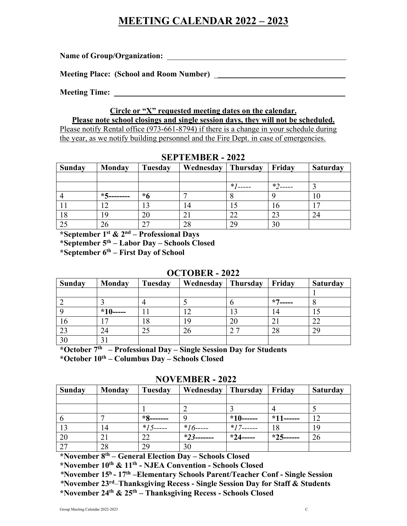# **MEETING CALENDAR 2022 – 2023**

Name of Group/Organization:

Meeting Place: (School and Room Number) **Lack 2018** 

**Meeting Time:** 

# **Circle or "X" requested meeting dates on the calendar.**

**Please note school closings and single session days, they will not be scheduled.** Please notify Rental office (973-661-8794) if there is a change in your schedule during the year, as we notify building personnel and the Fire Dept. in case of emergencies.

| Sunday | <b>Monday</b>               | Tuesday | Wednesday | Thursday | Friday | <b>Saturday</b> |
|--------|-----------------------------|---------|-----------|----------|--------|-----------------|
|        |                             |         |           |          |        |                 |
|        |                             |         |           | $*$      | $*$    |                 |
|        | $*$ $\epsilon$<br>3-------- | $*6$    |           | О        |        | 10              |
|        | ി                           |         |           |          | 10     | $\mathcal{L}$   |
| 18     | 19                          | 20      |           |          | 23     | 24              |
|        | 26                          | 27      | 28        | 29       | 30     |                 |

#### **SEPTEMBER - 2022**

**\*September 1st & 2nd – Professional Days**

**\*September 5th – Labor Day – Schools Closed**

**\*September 6th – First Day of School**

### **OCTOBER - 2022**

| <b>Sunday</b> | <b>Monday</b> | Tuesday           | Wednesday | Thursday | Friday | <b>Saturday</b> |
|---------------|---------------|-------------------|-----------|----------|--------|-----------------|
|               |               |                   |           |          |        |                 |
|               |               |                   |           |          | $*7$   | О               |
|               | $*10---$      |                   |           |          | 4      |                 |
| 10            |               | 18                | 19        | ZU       |        | 22              |
| 23            | 24            | $2^{\frac{1}{2}}$ |           |          | 28     | 29              |
| 30            |               |                   |           |          |        |                 |

**\*October 7th – Professional Day – Single Session Day for Students \*October 10th – Columbus Day – Schools Closed**

**NOVEMBER - 2022**

| <b>Sunday</b>   | <b>Monday</b> | Tuesday      | Wednesday     | Thursday     | Friday       | <b>Saturday</b> |
|-----------------|---------------|--------------|---------------|--------------|--------------|-----------------|
|                 |               |              |               |              |              |                 |
|                 |               |              |               |              |              |                 |
| -6              |               | $*8$ ------- |               | $*10$ ------ | $*11$ ------ | 12              |
| 13              | 14            | $*15$ -----  | $*16$ -----   | $*17$ ------ | 18           | 19              |
| 20              | 21            | 22           | $*23$ ------- | $*24$ -----  | $*25$ ------ | 26              |
| $\overline{27}$ | 28            | 29           | 30            |              |              |                 |

**\*November 8th – General Election Day – Schools Closed**

**\*November 10th & 11th - NJEA Convention - Schools Closed**

*\****November 15h - 17th –Elementary Schools Parent/Teacher Conf - Single Session**

*\****November 23rd***–***Thanksgiving Recess - Single Session Day for Staff & Students \*November 24th & 25th – Thanksgiving Recess - Schools Closed**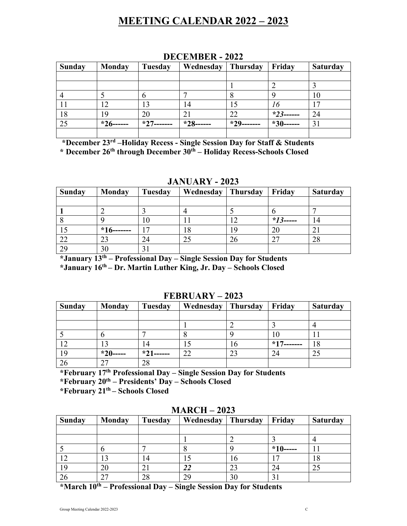# **MEETING CALENDAR 2022 – 2023**

| <b>Sunday</b> | <b>Monday</b> | Tuesday | Wednesday | <b>Thursday</b> | Friday       | <b>Saturday</b> |
|---------------|---------------|---------|-----------|-----------------|--------------|-----------------|
|               |               |         |           |                 |              |                 |
|               |               |         |           |                 |              |                 |
|               |               | n       |           | 8               |              | 10              |
|               | 12            | 13      | 14        |                 | 16           | 17              |
| 18            | 19            | 20      |           | 22              | $*23$ ------ | 24              |
| 25            | $*26$         | $*27$   | $*28-$    | $*29.$          | $*30$ ------ | 31              |
|               |               |         |           |                 |              |                 |

### **DECEMBER - 2022**

**\*December 23rd –Holiday Recess - Single Session Day for Staff & Students \* December 26th through December 30th – Holiday Recess-Schools Closed**

#### **JANUARY - 2023**

| <b>Sunday</b> | <b>Monday</b>    | Tuesday | Wednesday | <b>Thursday</b> | Friday       | <b>Saturday</b> |
|---------------|------------------|---------|-----------|-----------------|--------------|-----------------|
|               |                  |         |           |                 |              |                 |
|               |                  |         |           |                 |              |                 |
|               |                  | 10      |           |                 | * $13$ ----- | 14              |
|               | $+ * 16$ ------- |         |           |                 |              |                 |
| 22            | 23               | 24      |           |                 | רי           | 28              |
| 29            | 30               | 31      |           |                 |              |                 |

**\*January 13th** *–* **Professional Day – Single Session Day for Students \*January 16th – Dr. Martin Luther King, Jr. Day – Schools Closed**

#### **FEBRUARY – 2023**

| <b>Sunday</b> | Monday | Tuesday | Wednesday | <b>Thursday</b> | Friday | <b>Saturday</b> |
|---------------|--------|---------|-----------|-----------------|--------|-----------------|
|               |        |         |           |                 |        |                 |
|               |        |         |           |                 |        |                 |
|               |        |         |           |                 | ιU     | . .             |
|               | 13     | 14      |           | 10              | $*17$  | 18              |
| 19            | $*20$  | $*21$   | 22        | 23              | 24     | 25              |
|               | 27     | 28      |           |                 |        |                 |

**\*February 17th Professional Day – Single Session Day for Students**

**\*February 20th – Presidents' Day – Schools Closed**

**\*February 21th – Schools Closed**

|               | <b>EVELATACITY</b> 2020 |                |           |           |             |                 |  |  |  |  |
|---------------|-------------------------|----------------|-----------|-----------|-------------|-----------------|--|--|--|--|
| <b>Sunday</b> | <b>Monday</b>           | Tuesday        | Wednesday | Thursday  | Friday      | <b>Saturday</b> |  |  |  |  |
|               |                         |                |           |           |             |                 |  |  |  |  |
|               |                         |                |           |           |             |                 |  |  |  |  |
|               |                         |                |           |           | $*10$ ----- |                 |  |  |  |  |
|               | 13                      | 14             |           | $10^{-1}$ |             | 18              |  |  |  |  |
| 19            | 20                      | 2 <sub>1</sub> | 22        | 23        | 24          | 25              |  |  |  |  |
| 26            | 27                      | 28             | 29        | 30        |             |                 |  |  |  |  |

### **MARCH – 2023**

**\*March 10th – Professional Day – Single Session Day for Students**